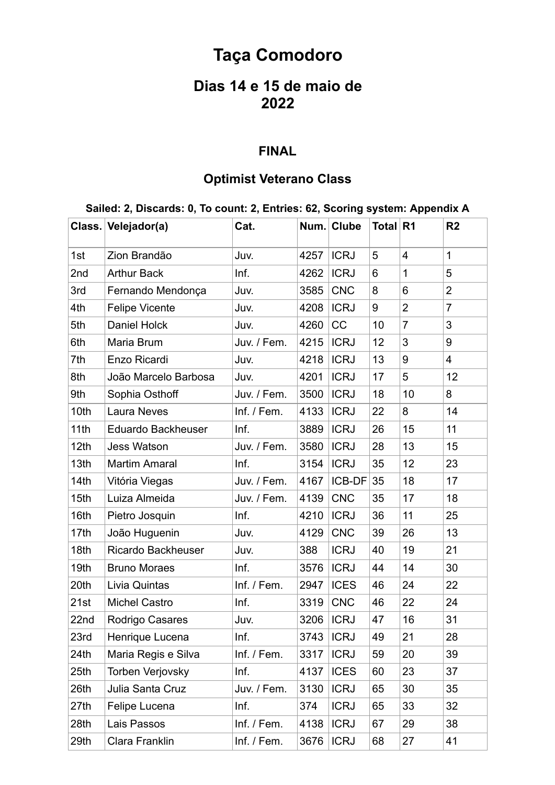# **Taça Comodoro**

## **Dias 14 e 15 de maio de 2022**

#### **FINAL**

### **Optimist Veterano Class**

#### **Sailed: 2, Discards: 0, To count: 2, Entries: 62, Scoring system: Appendix A**

|      | Class. Velejador(a)       | Cat.        |             | Num. Clube  | Total R1 |                | R <sub>2</sub> |
|------|---------------------------|-------------|-------------|-------------|----------|----------------|----------------|
| 1st  | Zion Brandão              | Juv.        | 4257        | <b>ICRJ</b> | 5        | $\overline{4}$ | $\mathbf{1}$   |
| 2nd  | <b>Arthur Back</b>        | Inf.        | 4262        | <b>ICRJ</b> | 6        | $\mathbf{1}$   | 5              |
| 3rd  | Fernando Mendonça         | Juv.        | 3585        | <b>CNC</b>  | 8        | 6              | $\overline{2}$ |
| 4th  | <b>Felipe Vicente</b>     | Juv.        | 4208        | <b>ICRJ</b> | 9        | $\overline{2}$ | 7              |
| 5th  | <b>Daniel Holck</b>       | Juv.        | 4260        | CC          | 10       | $\overline{7}$ | 3              |
| 6th  | Maria Brum                | Juv. / Fem. | 4215        | <b>ICRJ</b> | 12       | 3              | 9              |
| 7th  | Enzo Ricardi              | Juv.        | 4218        | <b>ICRJ</b> | 13       | 9              | $\overline{4}$ |
| 8th  | João Marcelo Barbosa      | Juv.        | 4201        | <b>ICRJ</b> | 17       | 5              | 12             |
| 9th  | Sophia Osthoff            | Juv. / Fem. | 3500        | <b>ICRJ</b> | 18       | 10             | 8              |
| 10th | <b>Laura Neves</b>        | Inf. / Fem. | 4133        | <b>ICRJ</b> | 22       | 8              | 14             |
| 11th | <b>Eduardo Backheuser</b> | Inf.        | 3889        | <b>ICRJ</b> | 26       | 15             | 11             |
| 12th | <b>Jess Watson</b>        | Juv. / Fem. | 3580        | <b>ICRJ</b> | 28       | 13             | 15             |
| 13th | <b>Martim Amaral</b>      | Inf.        | 3154        | <b>ICRJ</b> | 35       | 12             | 23             |
| 14th | Vitória Viegas            | Juv. / Fem. | 4167        | ICB-DF      | 35       | 18             | 17             |
| 15th | Luiza Almeida             | Juv. / Fem. | 4139        | <b>CNC</b>  | 35       | 17             | 18             |
| 16th | Pietro Josquin            | Inf.        | 4210        | <b>ICRJ</b> | 36       | 11             | 25             |
| 17th | João Huguenin             | Juv.        | 4129        | <b>CNC</b>  | 39       | 26             | 13             |
| 18th | Ricardo Backheuser        | Juv.        | 388         | <b>ICRJ</b> | 40       | 19             | 21             |
| 19th | <b>Bruno Moraes</b>       | Inf.        | 3576        | <b>ICRJ</b> | 44       | 14             | 30             |
| 20th | Livia Quintas             | Inf. / Fem. | 2947        | <b>ICES</b> | 46       | 24             | 22             |
| 21st | <b>Michel Castro</b>      | Inf.        | 3319        | <b>CNC</b>  | 46       | 22             | 24             |
| 22nd | Rodrigo Casares           | Juv.        | 3206        | <b>ICRJ</b> | 47       | 16             | 31             |
| 23rd | Henrique Lucena           | Inf.        | 3743   ICRJ |             | 49       | 21             | 28             |
| 24th | Maria Regis e Silva       | Inf. / Fem. | 3317        | <b>ICRJ</b> | 59       | 20             | 39             |
| 25th | <b>Torben Verjovsky</b>   | Inf.        | 4137        | <b>ICES</b> | 60       | 23             | 37             |
| 26th | Julia Santa Cruz          | Juv. / Fem. | 3130        | <b>ICRJ</b> | 65       | 30             | 35             |
| 27th | Felipe Lucena             | Inf.        | 374         | <b>ICRJ</b> | 65       | 33             | 32             |
| 28th | Lais Passos               | Inf. / Fem. | 4138        | <b>ICRJ</b> | 67       | 29             | 38             |
| 29th | Clara Franklin            | Inf. / Fem. | 3676        | <b>ICRJ</b> | 68       | 27             | 41             |